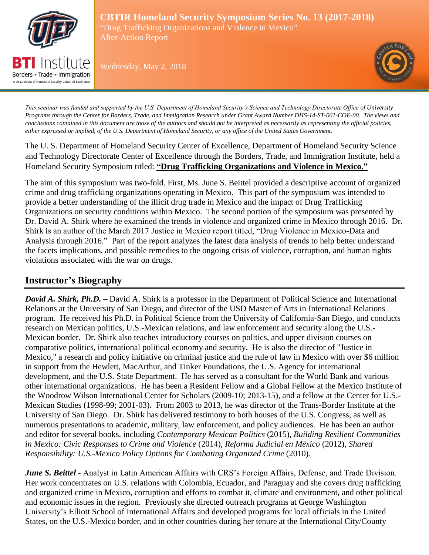

A Department of Homeland Security Center of Excellence

**CBTIR Homeland Security Symposium Series No. 13 (2017-2018)** "Drug Trafficking Organizations and Violence in Mexico" After-Action Report

Wednesday, May 2, 2018



*This seminar was funded and supported by the U.S. Department of Homeland Security's Science and Technology Directorate Office of University Programs through the Center for Borders, Trade, and Immigration Research under Grant Award Number DHS-14-ST-061-COE-00. The views and conclusions contained in this document are those of the authors and should not be interpreted as necessarily as representing the official policies, either expressed or implied, of the U.S. Department of Homeland Security, or any office of the United States Government.*

The U. S. Department of Homeland Security Center of Excellence, Department of Homeland Security Science and Technology Directorate Center of Excellence through the Borders, Trade, and Immigration Institute, held a Homeland Security Symposium titled: **"Drug Trafficking Organizations and Violence in Mexico."** 

The aim of this symposium was two-fold. First, Ms. June S. Beittel provided a descriptive account of organized crime and drug trafficking organizations operating in Mexico. This part of the symposium was intended to provide a better understanding of the illicit drug trade in Mexico and the impact of Drug Trafficking Organizations on security conditions within Mexico. The second portion of the symposium was presented by Dr. David A. Shirk where he examined the trends in violence and organized crime in Mexico through 2016. Dr. Shirk is an author of the March 2017 Justice in Mexico report titled, "Drug Violence in Mexico-Data and Analysis through 2016." Part of the report analyzes the latest data analysis of trends to help better understand the facets implications, and possible remedies to the ongoing crisis of violence, corruption, and human rights violations associated with the war on drugs.

# **Instructor's Biography**

*David A. Shirk, Ph.D. –* David A. Shirk is a professor in the Department of Political Science and International Relations at the University of San Diego, and director of the USD Master of Arts in International Relations program. He received his Ph.D. in Political Science from the University of California-San Diego, and conducts research on Mexican politics, U.S.-Mexican relations, and law enforcement and security along the U.S.- Mexican border. Dr. Shirk also teaches introductory courses on politics, and upper division courses on comparative politics, international political economy and security. He is also the director of "Justice in Mexico," a research and policy initiative on criminal justice and the rule of law in Mexico with over \$6 million in support from the Hewlett, MacArthur, and Tinker Foundations, the U.S. Agency for international development, and the U.S. State Department. He has served as a consultant for the World Bank and various other international organizations. He has been a Resident Fellow and a Global Fellow at the Mexico Institute of the Woodrow Wilson International Center for Scholars (2009-10; 2013-15), and a fellow at the Center for U.S.- Mexican Studies (1998-99; 2001-03). From 2003 to 2013, he was director of the Trans-Border Institute at the University of San Diego. Dr. Shirk has delivered testimony to both houses of the U.S. Congress, as well as numerous presentations to academic, military, law enforcement, and policy audiences. He has been an author and editor for several books, including *Contemporary Mexican Politics* (2015), *Building Resilient Communities in Mexico: Civic Responses to Crime and Violence* (2014), *Reforma Judicial en México* (2012), *Shared Responsibility: U.S.-Mexico Policy Options for Combating Organized Crime* (2010).

*June S. Beittel* - Analyst in Latin American Affairs with CRS's Foreign Affairs, Defense, and Trade Division. Her work concentrates on U.S. relations with Colombia, Ecuador, and Paraguay and she covers drug trafficking and organized crime in Mexico, corruption and efforts to combat it, climate and environment, and other political and economic issues in the region. Previously she directed outreach programs at George Washington University's Elliott School of International Affairs and developed programs for local officials in the United States, on the U.S.-Mexico border, and in other countries during her tenure at the International City/County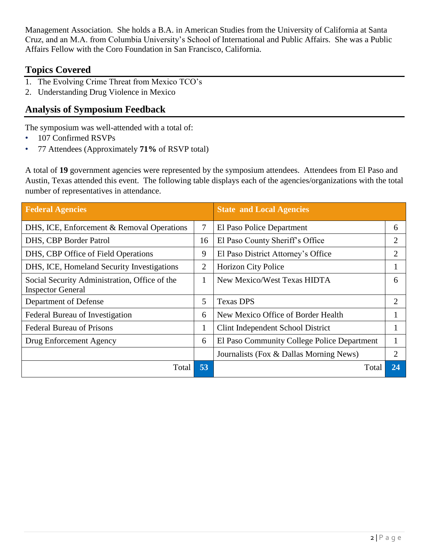Management Association. She holds a B.A. in American Studies from the University of California at Santa Cruz, and an M.A. from Columbia University's School of International and Public Affairs. She was a Public Affairs Fellow with the Coro Foundation in San Francisco, California.

# **Topics Covered**

- 1. The Evolving Crime Threat from Mexico TCO's
- 2. Understanding Drug Violence in Mexico

# **Analysis of Symposium Feedback**

The symposium was well-attended with a total of:

- 107 Confirmed RSVPs
- 77 Attendees (Approximately **71%** of RSVP total)

A total of **19** government agencies were represented by the symposium attendees. Attendees from El Paso and Austin, Texas attended this event. The following table displays each of the agencies/organizations with the total number of representatives in attendance.

| <b>Federal Agencies</b>                                                   |    | <b>State and Local Agencies</b>             |                             |
|---------------------------------------------------------------------------|----|---------------------------------------------|-----------------------------|
| DHS, ICE, Enforcement & Removal Operations                                | 7  | El Paso Police Department                   | 6                           |
| DHS, CBP Border Patrol                                                    | 16 | El Paso County Sheriff's Office             | 2                           |
| DHS, CBP Office of Field Operations                                       | 9  | El Paso District Attorney's Office          | 2                           |
| DHS, ICE, Homeland Security Investigations                                | 2  | <b>Horizon City Police</b>                  |                             |
| Social Security Administration, Office of the<br><b>Inspector General</b> |    | <b>New Mexico/West Texas HIDTA</b>          | 6                           |
| Department of Defense                                                     | 5  | <b>Texas DPS</b>                            | $\mathcal{D}_{\mathcal{L}}$ |
| Federal Bureau of Investigation                                           | 6  | New Mexico Office of Border Health          |                             |
| <b>Federal Bureau of Prisons</b>                                          | 1  | Clint Independent School District           |                             |
| Drug Enforcement Agency                                                   | 6  | El Paso Community College Police Department |                             |
|                                                                           |    | Journalists (Fox & Dallas Morning News)     | 2                           |
| Total                                                                     | 53 | Total                                       | 24                          |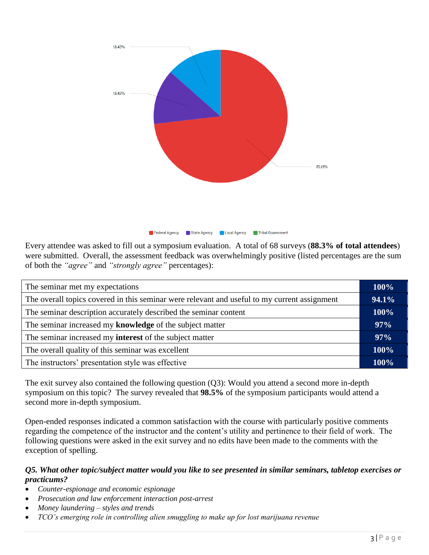

Every attendee was asked to fill out a symposium evaluation. A total of 68 surveys (**88.3% of total attendees**) were submitted. Overall, the assessment feedback was overwhelmingly positive (listed percentages are the sum of both the *"agree"* and *"strongly agree"* percentages):

| The seminar met my expectations                                                              |      |
|----------------------------------------------------------------------------------------------|------|
| The overall topics covered in this seminar were relevant and useful to my current assignment |      |
| The seminar description accurately described the seminar content                             |      |
| The seminar increased my knowledge of the subject matter                                     |      |
| The seminar increased my <b>interest</b> of the subject matter                               |      |
| The overall quality of this seminar was excellent                                            |      |
| The instructors' presentation style was effective                                            | 100% |

The exit survey also contained the following question (Q3): Would you attend a second more in-depth symposium on this topic? The survey revealed that **98.5%** of the symposium participants would attend a second more in-depth symposium.

Open-ended responses indicated a common satisfaction with the course with particularly positive comments regarding the competence of the instructor and the content's utility and pertinence to their field of work. The following questions were asked in the exit survey and no edits have been made to the comments with the exception of spelling.

### *Q5. What other topic/subject matter would you like to see presented in similar seminars, tabletop exercises or practicums?*

- *Counter-espionage and economic espionage*
- *Prosecution and law enforcement interaction post-arrest*
- *Money laundering – styles and trends*
- *TCO's emerging role in controlling alien smuggling to make up for lost marijuana revenue*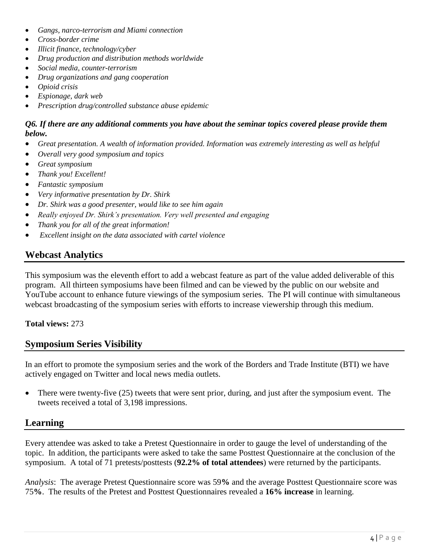- *Gangs, narco-terrorism and Miami connection*
- *Cross-border crime*
- *Illicit finance, technology/cyber*
- *Drug production and distribution methods worldwide*
- *Social media, counter-terrorism*
- *Drug organizations and gang cooperation*
- *Opioid crisis*
- *Espionage, dark web*
- *Prescription drug/controlled substance abuse epidemic*

#### *Q6. If there are any additional comments you have about the seminar topics covered please provide them below.*

- *Great presentation. A wealth of information provided. Information was extremely interesting as well as helpful*
- *Overall very good symposium and topics*
- *Great symposium*
- *Thank you! Excellent!*
- *Fantastic symposium*
- *Very informative presentation by Dr. Shirk*
- *Dr. Shirk was a good presenter, would like to see him again*
- *Really enjoyed Dr. Shirk's presentation. Very well presented and engaging*
- *Thank you for all of the great information!*
- *Excellent insight on the data associated with cartel violence*

## **Webcast Analytics**

This symposium was the eleventh effort to add a webcast feature as part of the value added deliverable of this program. All thirteen symposiums have been filmed and can be viewed by the public on our website and YouTube account to enhance future viewings of the symposium series. The PI will continue with simultaneous webcast broadcasting of the symposium series with efforts to increase viewership through this medium.

#### **Total views:** 273

### **Symposium Series Visibility**

In an effort to promote the symposium series and the work of the Borders and Trade Institute (BTI) we have actively engaged on Twitter and local news media outlets.

• There were twenty-five (25) tweets that were sent prior, during, and just after the symposium event. The tweets received a total of 3,198 impressions.

## **Learning**

Every attendee was asked to take a Pretest Questionnaire in order to gauge the level of understanding of the topic. In addition, the participants were asked to take the same Posttest Questionnaire at the conclusion of the symposium. A total of 71 pretests/posttests (**92.2% of total attendees**) were returned by the participants.

*Analysis*: The average Pretest Questionnaire score was 59**%** and the average Posttest Questionnaire score was 75**%**. The results of the Pretest and Posttest Questionnaires revealed a **16% increase** in learning.